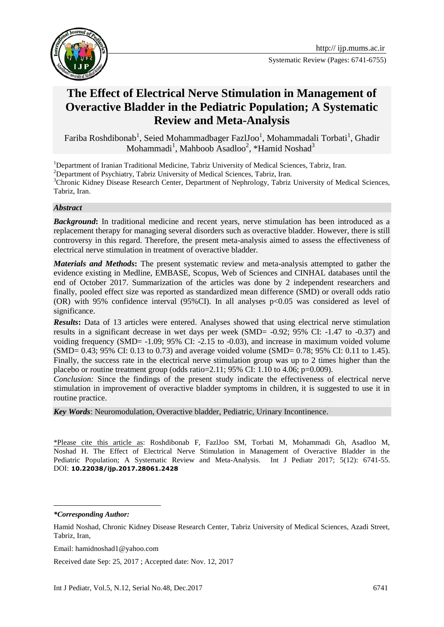



# **The Effect of Electrical Nerve Stimulation in Management of Overactive Bladder in the Pediatric Population; A Systematic Review and Meta-Analysis**

Fariba Roshdibonab<sup>1</sup>, Seied Mohammadbager FazlJoo<sup>1</sup>, Mohammadali Torbati<sup>1</sup>, Ghadir Mohammadi<sup>1</sup>, Mahboob Asadloo<sup>2</sup>, \*Hamid Noshad<sup>3</sup>

<sup>1</sup>Department of Iranian Traditional Medicine, Tabriz University of Medical Sciences, Tabriz, Iran.

<sup>2</sup>Department of Psychiatry, Tabriz University of Medical Sciences, Tabriz, Iran.

<sup>3</sup>Chronic Kidney Disease Research Center, Department of Nephrology, Tabriz University of Medical Sciences, Tabriz, Iran.

#### *Abstract*

**Background:** In traditional medicine and recent years, nerve stimulation has been introduced as a replacement therapy for managing several disorders such as overactive bladder. However, there is still controversy in this regard. Therefore, the present meta-analysis aimed to assess the effectiveness of electrical nerve stimulation in treatment of overactive bladder.

*Materials and Methods***:** The present systematic review and meta-analysis attempted to gather the evidence existing in Medline, EMBASE, Scopus, Web of Sciences and CINHAL databases until the end of October 2017. Summarization of the articles was done by 2 independent researchers and finally, pooled effect size was reported as standardized mean difference (SMD) or overall odds ratio (OR) with 95% confidence interval (95%CI). In all analyses p<0.05 was considered as level of significance.

*Results***:** Data of 13 articles were entered. Analyses showed that using electrical nerve stimulation results in a significant decrease in wet days per week (SMD= -0.92; 95% CI: -1.47 to -0.37) and voiding frequency (SMD= -1.09; 95% CI: -2.15 to -0.03), and increase in maximum voided volume (SMD= 0.43; 95% CI: 0.13 to 0.73) and average voided volume (SMD= 0.78; 95% CI: 0.11 to 1.45). Finally, the success rate in the electrical nerve stimulation group was up to 2 times higher than the placebo or routine treatment group (odds ratio= $2.11$ ; 95% CI:  $1.10$  to  $4.06$ ; p=0.009).

*Conclusion:* Since the findings of the present study indicate the effectiveness of electrical nerve stimulation in improvement of overactive bladder symptoms in children, it is suggested to use it in routine practice.

*Key Words*: Neuromodulation, Overactive bladder, Pediatric, Urinary Incontinence.

\*Please cite this article as: Roshdibonab F, FazlJoo SM, Torbati M, Mohammadi Gh, Asadloo M, Noshad H. The Effect of Electrical Nerve Stimulation in Management of Overactive Bladder in the Pediatric Population; A Systematic Review and Meta-Analysis. Int J Pediatr 2017; 5(12): 6741-55. DOI: **10.22038/ijp.2017.28061.2428**

*\*Corresponding Author:*

**.** 

Received date Sep: 25, 2017 ; Accepted date: Nov. 12, 2017

Hamid Noshad, Chronic Kidney Disease Research Center, Tabriz University of Medical Sciences, Azadi Street, Tabriz, Iran,

Email: hamidnoshad1@yahoo.com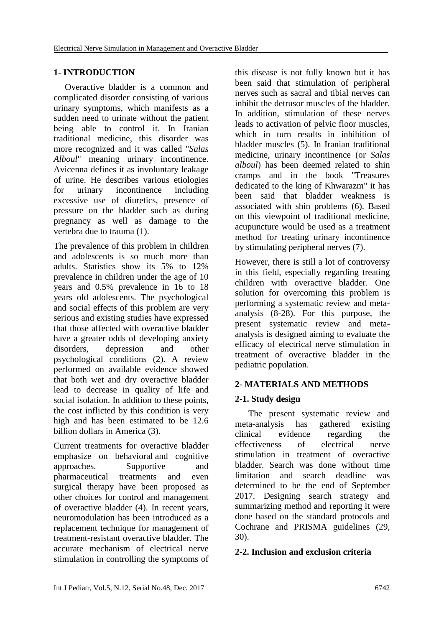#### **1- INTRODUCTION**

 Overactive bladder is a common and complicated disorder consisting of various urinary symptoms, which manifests as a sudden need to urinate without the patient being able to control it. In Iranian traditional medicine, this disorder was more recognized and it was called "*Salas Alboul*" meaning urinary incontinence. Avicenna defines it as involuntary leakage of urine. He describes various etiologies for urinary incontinence including excessive use of diuretics, presence of pressure on the bladder such as during pregnancy as well as damage to the vertebra due to trauma (1).

The prevalence of this problem in children and adolescents is so much more than adults. Statistics show its 5% to 12% prevalence in children under the age of 10 years and 0.5% prevalence in 16 to 18 years old adolescents. The psychological and social effects of this problem are very serious and existing studies have expressed that those affected with overactive bladder have a greater odds of developing anxiety disorders, depression and other psychological conditions (2). A review performed on available evidence showed that both wet and dry overactive bladder lead to decrease in quality of life and social isolation. In addition to these points, the cost inflicted by this condition is very high and has been estimated to be 12.6 billion dollars in America (3).

Current treatments for overactive bladder emphasize on behavioral and cognitive approaches. Supportive and pharmaceutical treatments and even surgical therapy have been proposed as other choices for control and management of overactive bladder (4). In recent years, neuromodulation has been introduced as a replacement technique for management of treatment-resistant overactive bladder. The accurate mechanism of electrical nerve stimulation in controlling the symptoms of this disease is not fully known but it has been said that stimulation of peripheral nerves such as sacral and tibial nerves can inhibit the detrusor muscles of the bladder. In addition, stimulation of these nerves leads to activation of pelvic floor muscles, which in turn results in inhibition of bladder muscles (5). In Iranian traditional medicine, urinary incontinence (or *Salas alboul*) has been deemed related to shin cramps and in the book "Treasures dedicated to the king of Khwarazm" it has been said that bladder weakness is associated with shin problems (6). Based on this viewpoint of traditional medicine, acupuncture would be used as a treatment method for treating urinary incontinence by stimulating peripheral nerves (7).

However, there is still a lot of controversy in this field, especially regarding treating children with overactive bladder. One solution for overcoming this problem is performing a systematic review and metaanalysis (8-28). For this purpose, the present systematic review and metaanalysis is designed aiming to evaluate the efficacy of electrical nerve stimulation in treatment of overactive bladder in the pediatric population.

### **2- MATERIALS AND METHODS**

### **2-1. Study design**

 The present systematic review and meta-analysis has gathered existing clinical evidence regarding the effectiveness of electrical nerve stimulation in treatment of overactive bladder. Search was done without time limitation and search deadline was determined to be the end of September 2017. Designing search strategy and summarizing method and reporting it were done based on the standard protocols and Cochrane and PRISMA guidelines (29, 30).

#### **2-2. Inclusion and exclusion criteria**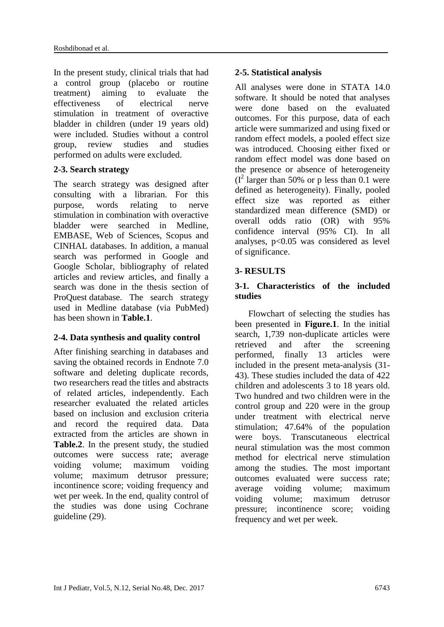In the present study, clinical trials that had a control group (placebo or routine treatment) aiming to evaluate the effectiveness of electrical nerve stimulation in treatment of overactive bladder in children (under 19 years old) were included. Studies without a control group, review studies and studies performed on adults were excluded.

### **2-3. Search strategy**

The search strategy was designed after consulting with a librarian. For this purpose, words relating to nerve stimulation in combination with overactive bladder were searched in Medline, EMBASE, Web of Sciences, Scopus and CINHAL databases. In addition, a manual search was performed in Google and Google Scholar, bibliography of related articles and review articles, and finally a search was done in the thesis section of ProQuest database. The search strategy used in Medline database (via PubMed) has been shown in **Table.1**.

## **2-4. Data synthesis and quality control**

After finishing searching in databases and saving the obtained records in Endnote 7.0 software and deleting duplicate records, two researchers read the titles and abstracts of related articles, independently. Each researcher evaluated the related articles based on inclusion and exclusion criteria and record the required data. Data extracted from the articles are shown in **Table.2**. In the present study, the studied outcomes were success rate; average voiding volume; maximum voiding volume; maximum detrusor pressure; incontinence score; voiding frequency and wet per week. In the end, quality control of the studies was done using Cochrane guideline (29).

## **2-5. Statistical analysis**

All analyses were done in STATA 14.0 software. It should be noted that analyses were done based on the evaluated outcomes. For this purpose, data of each article were summarized and using fixed or random effect models, a pooled effect size was introduced. Choosing either fixed or random effect model was done based on the presence or absence of heterogeneity  $(I<sup>2</sup>$  larger than 50% or p less than 0.1 were defined as heterogeneity). Finally, pooled effect size was reported as either standardized mean difference (SMD) or overall odds ratio (OR) with 95% confidence interval (95% CI). In all analyses, p<0.05 was considered as level of significance.

## **3- RESULTS**

## **3-1. Characteristics of the included studies**

 Flowchart of selecting the studies has been presented in **Figure.1**. In the initial search, 1,739 non-duplicate articles were retrieved and after the screening performed, finally 13 articles were included in the present meta-analysis (31- 43). These studies included the data of 422 children and adolescents 3 to 18 years old. Two hundred and two children were in the control group and 220 were in the group under treatment with electrical nerve stimulation; 47.64% of the population were boys. Transcutaneous electrical neural stimulation was the most common method for electrical nerve stimulation among the studies. The most important outcomes evaluated were success rate; average voiding volume; maximum voiding volume; maximum detrusor pressure; incontinence score; voiding frequency and wet per week.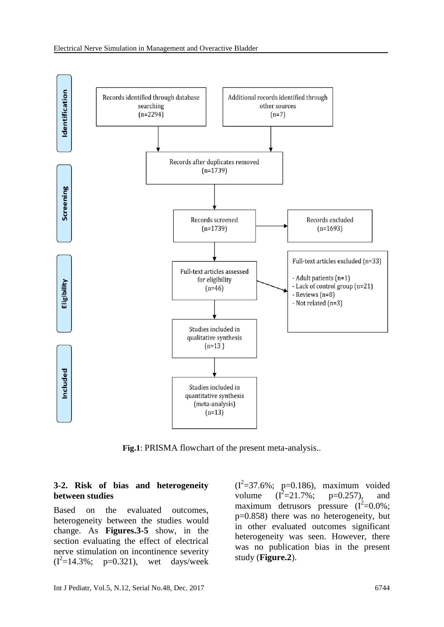

**Fig.1**: PRISMA flowchart of the present meta-analysis..

#### **3-2. Risk of bias and heterogeneity between studies**

Based on the evaluated outcomes, heterogeneity between the studies would change. As **Figures.3-5** show, in the section evaluating the effect of electrical nerve stimulation on incontinence severity  $(I^2=14.3\%; p=0.321)$ , wet days/week

 $(I^2=37.6\%; p=0.186)$ , maximum voided volume  $(I^2=21.7\%;$  $p=0.257$ ), and maximum detrusors pressure  $(I^2=0.0\%;$ p=0.858) there was no heterogeneity, but in other evaluated outcomes significant heterogeneity was seen. However, there was no publication bias in the present study (**Figure.2**).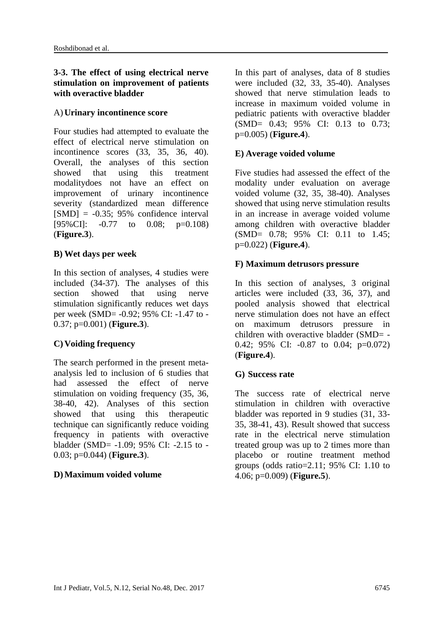### **3-3. The effect of using electrical nerve stimulation on improvement of patients with overactive bladder**

#### A) **Urinary incontinence score**

Four studies had attempted to evaluate the effect of electrical nerve stimulation on incontinence scores (33, 35, 36, 40). Overall, the analyses of this section showed that using this treatment modalitydoes not have an effect on improvement of urinary incontinence severity (standardized mean difference  $[SMD] = -0.35$ ; 95% confidence interval [95%CI]:  $-0.77$  to 0.08; p=0.108) (**Figure.3**).

#### **B) Wet days per week**

In this section of analyses, 4 studies were included (34-37). The analyses of this section showed that using nerve stimulation significantly reduces wet days per week (SMD= -0.92; 95% CI: -1.47 to - 0.37; p=0.001) (**Figure.3**).

### **C) Voiding frequency**

The search performed in the present metaanalysis led to inclusion of 6 studies that had assessed the effect of nerve stimulation on voiding frequency (35, 36, 38-40, 42). Analyses of this section showed that using this therapeutic technique can significantly reduce voiding frequency in patients with overactive bladder (SMD= -1.09; 95% CI: -2.15 to - 0.03; p=0.044) (**Figure.3**).

### **D)Maximum voided volume**

In this part of analyses, data of 8 studies were included (32, 33, 35-40). Analyses showed that nerve stimulation leads to increase in maximum voided volume in pediatric patients with overactive bladder (SMD= 0.43; 95% CI: 0.13 to 0.73; p=0.005) (**Figure.4**).

#### **E) Average voided volume**

Five studies had assessed the effect of the modality under evaluation on average voided volume (32, 35, 38-40). Analyses showed that using nerve stimulation results in an increase in average voided volume among children with overactive bladder (SMD= 0.78; 95% CI: 0.11 to 1.45; p=0.022) (**Figure.4**).

#### **F) Maximum detrusors pressure**

In this section of analyses, 3 original articles were included (33, 36, 37), and pooled analysis showed that electrical nerve stimulation does not have an effect on maximum detrusors pressure in children with overactive bladder (SMD= - 0.42; 95% CI: -0.87 to 0.04; p=0.072) (**Figure.4**).

#### **G) Success rate**

The success rate of electrical nerve stimulation in children with overactive bladder was reported in 9 studies (31, 33- 35, 38-41, 43). Result showed that success rate in the electrical nerve stimulation treated group was up to 2 times more than placebo or routine treatment method groups (odds ratio=2.11; 95% CI: 1.10 to 4.06; p=0.009) (**Figure.5**).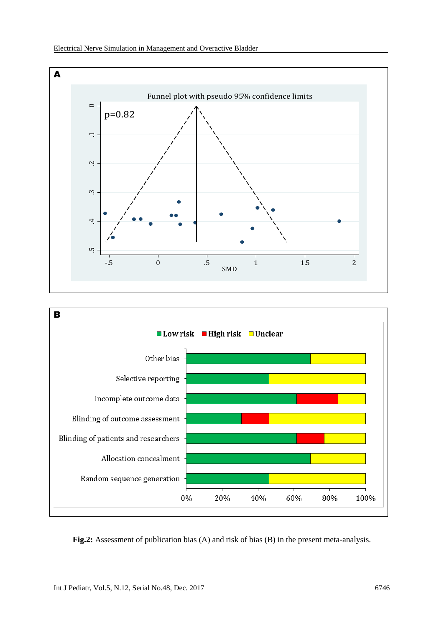



**Fig.2:** Assessment of publication bias (A) and risk of bias (B) in the present meta-analysis.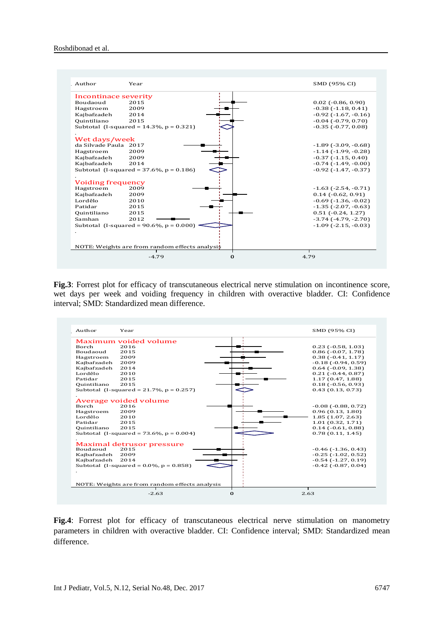

**Fig.3**: Forrest plot for efficacy of transcutaneous electrical nerve stimulation on incontinence score, wet days per week and voiding frequency in children with overactive bladder. CI: Confidence interval; SMD: Standardized mean difference.



**Fig.4**: Forrest plot for efficacy of transcutaneous electrical nerve stimulation on manometry parameters in children with overactive bladder. CI: Confidence interval; SMD: Standardized mean difference.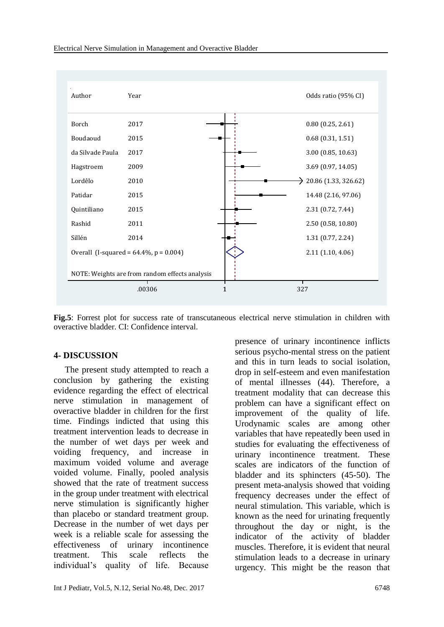

**Fig.5**: Forrest plot for success rate of transcutaneous electrical nerve stimulation in children with overactive bladder. CI: Confidence interval.

#### **4- DISCUSSION**

 The present study attempted to reach a conclusion by gathering the existing evidence regarding the effect of electrical nerve stimulation in management of overactive bladder in children for the first time. Findings indicted that using this treatment intervention leads to decrease in the number of wet days per week and voiding frequency, and increase in maximum voided volume and average voided volume. Finally, pooled analysis showed that the rate of treatment success in the group under treatment with electrical nerve stimulation is significantly higher than placebo or standard treatment group. Decrease in the number of wet days per week is a reliable scale for assessing the effectiveness of urinary incontinence treatment. This scale reflects the individual's quality of life. Because

Int J Pediatr, Vol.5, N.12, Serial No.48, Dec. 2017 6748

presence of urinary incontinence inflicts serious psycho-mental stress on the patient and this in turn leads to social isolation, drop in self-esteem and even manifestation of mental illnesses (44). Therefore, a treatment modality that can decrease this problem can have a significant effect on improvement of the quality of life. Urodynamic scales are among other variables that have repeatedly been used in studies for evaluating the effectiveness of urinary incontinence treatment. These scales are indicators of the function of bladder and its sphincters (45-50). The present meta-analysis showed that voiding frequency decreases under the effect of neural stimulation. This variable, which is known as the need for urinating frequently throughout the day or night, is the indicator of the activity of bladder muscles. Therefore, it is evident that neural stimulation leads to a decrease in urinary urgency. This might be the reason that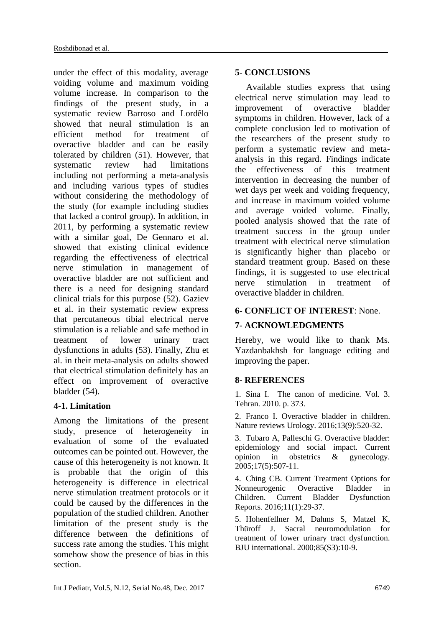under the effect of this modality, average voiding volume and maximum voiding volume increase. In comparison to the findings of the present study, in a systematic review Barroso and Lordêlo showed that neural stimulation is an efficient method for treatment of overactive bladder and can be easily tolerated by children (51). However, that systematic review had limitations including not performing a meta-analysis and including various types of studies without considering the methodology of the study (for example including studies that lacked a control group). In addition, in 2011, by performing a systematic review with a similar goal, De Gennaro et al. showed that existing clinical evidence regarding the effectiveness of electrical nerve stimulation in management of overactive bladder are not sufficient and there is a need for designing standard clinical trials for this purpose (52). Gaziev et al. in their systematic review express that percutaneous tibial electrical nerve stimulation is a reliable and safe method in treatment of lower urinary tract dysfunctions in adults (53). Finally, Zhu et al. in their meta-analysis on adults showed that electrical stimulation definitely has an effect on improvement of overactive bladder (54).

## **4-1. Limitation**

Among the limitations of the present study, presence of heterogeneity in evaluation of some of the evaluated outcomes can be pointed out. However, the cause of this heterogeneity is not known. It is probable that the origin of this heterogeneity is difference in electrical nerve stimulation treatment protocols or it could be caused by the differences in the population of the studied children. Another limitation of the present study is the difference between the definitions of success rate among the studies. This might somehow show the presence of bias in this section.

## **5- CONCLUSIONS**

 Available studies express that using electrical nerve stimulation may lead to improvement of overactive bladder symptoms in children. However, lack of a complete conclusion led to motivation of the researchers of the present study to perform a systematic review and metaanalysis in this regard. Findings indicate the effectiveness of this treatment intervention in decreasing the number of wet days per week and voiding frequency, and increase in maximum voided volume and average voided volume. Finally, pooled analysis showed that the rate of treatment success in the group under treatment with electrical nerve stimulation is significantly higher than placebo or standard treatment group. Based on these findings, it is suggested to use electrical nerve stimulation in treatment of overactive bladder in children.

## **6- CONFLICT OF INTEREST**: None.

## **7- ACKNOWLEDGMENTS**

Hereby, we would like to thank Ms. Yazdanbakhsh for language editing and improving the paper.

### **8- REFERENCES**

1. Sina I. The canon of medicine. Vol. 3. Tehran. 2010. p. 373.

2. Franco I. Overactive bladder in children. Nature reviews Urology. 2016;13(9):520-32.

3. Tubaro A, Palleschi G. Overactive bladder: epidemiology and social impact. Current opinion in obstetrics & gynecology. 2005;17(5):507-11.

4. Ching CB. Current Treatment Options for Nonneurogenic Overactive Bladder in Children. Current Bladder Dysfunction Reports. 2016;11(1):29-37.

5. Hohenfellner M, Dahms S, Matzel K, Thüroff J. Sacral neuromodulation for treatment of lower urinary tract dysfunction. BJU international. 2000;85(S3):10-9.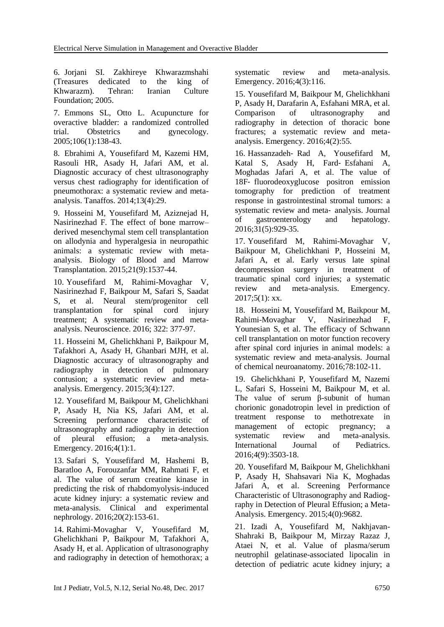6. Jorjani SI. Zakhireye Khwarazmshahi (Treasures dedicated to the king of Khwarazm). Tehran: Iranian Culture Foundation; 2005.

7. Emmons SL, Otto L. Acupuncture for overactive bladder: a randomized controlled trial. Obstetrics and gynecology. 2005;106(1):138-43.

8. Ebrahimi A, Yousefifard M, Kazemi HM, Rasouli HR, Asady H, Jafari AM, et al. Diagnostic accuracy of chest ultrasonography versus chest radiography for identification of pneumothorax: a systematic review and metaanalysis. Tanaffos. 2014;13(4):29.

9. Hosseini M, Yousefifard M, Aziznejad H, Nasirinezhad F. The effect of bone marrow– derived mesenchymal stem cell transplantation on allodynia and hyperalgesia in neuropathic animals: a systematic review with metaanalysis. Biology of Blood and Marrow Transplantation. 2015;21(9):1537-44.

10. Yousefifard M, Rahimi-Movaghar V, Nasirinezhad F, Baikpour M, Safari S, Saadat S, et al. Neural stem/progenitor cell transplantation for spinal cord injury treatment; A systematic review and metaanalysis. Neuroscience. 2016; 322: 377-97.

11. Hosseini M, Ghelichkhani P, Baikpour M, Tafakhori A, Asady H, Ghanbari MJH, et al. Diagnostic accuracy of ultrasonography and radiography in detection of pulmonary contusion; a systematic review and metaanalysis. Emergency. 2015;3(4):127.

12. Yousefifard M, Baikpour M, Ghelichkhani P, Asady H, Nia KS, Jafari AM, et al. Screening performance characteristic of ultrasonography and radiography in detection of pleural effusion; a meta-analysis. Emergency. 2016;4(1):1.

13. Safari S, Yousefifard M, Hashemi B, Baratloo A, Forouzanfar MM, Rahmati F, et al. The value of serum creatine kinase in predicting the risk of rhabdomyolysis-induced acute kidney injury: a systematic review and meta-analysis. Clinical and experimental nephrology. 2016;20(2):153-61.

14. Rahimi-Movaghar V, Yousefifard M, Ghelichkhani P, Baikpour M, Tafakhori A, Asady H, et al. Application of ultrasonography and radiography in detection of hemothorax; a systematic review and meta-analysis. Emergency. 2016;4(3):116.

15. Yousefifard M, Baikpour M, Ghelichkhani P, Asady H, Darafarin A, Esfahani MRA, et al. Comparison of ultrasonography and radiography in detection of thoracic bone fractures; a systematic review and metaanalysis. Emergency. 2016;4(2):55.

16. Hassanzadeh‐ Rad A, Yousefifard M, Katal S, Asady H, Fard‐ Esfahani A, Moghadas Jafari A, et al. The value of 18F‐ fluorodeoxyglucose positron emission tomography for prediction of treatment response in gastrointestinal stromal tumors: a systematic review and meta‐ analysis. Journal of gastroenterology and hepatology. 2016;31(5):929-35.

17. Yousefifard M, Rahimi-Movaghar V, Baikpour M, Ghelichkhani P, Hosseini M, Jafari A, et al. Early versus late spinal decompression surgery in treatment of traumatic spinal cord injuries; a systematic review and meta-analysis. Emergency. 2017;5(1): xx.

18. Hosseini M, Yousefifard M, Baikpour M, Rahimi-Movaghar V, Nasirinezhad F, Younesian S, et al. The efficacy of Schwann cell transplantation on motor function recovery after spinal cord injuries in animal models: a systematic review and meta-analysis. Journal of chemical neuroanatomy. 2016;78:102-11.

19. Ghelichkhani P, Yousefifard M, Nazemi L, Safari S, Hosseini M, Baikpour M, et al. The value of serum β-subunit of human chorionic gonadotropin level in prediction of treatment response to methotrexate in management of ectopic pregnancy; a systematic review and meta-analysis. International Journal of Pediatrics. 2016;4(9):3503-18.

20. Yousefifard M, Baikpour M, Ghelichkhani P, Asady H, Shahsavari Nia K, Moghadas Jafari A, et al. Screening Performance Characteristic of Ultrasonography and Radiography in Detection of Pleural Effusion; a Meta-Analysis. Emergency. 2015;4(0):9682.

21. Izadi A, Yousefifard M, Nakhjavan-Shahraki B, Baikpour M, Mirzay Razaz J, Ataei N, et al. Value of plasma/serum neutrophil gelatinase-associated lipocalin in detection of pediatric acute kidney injury; a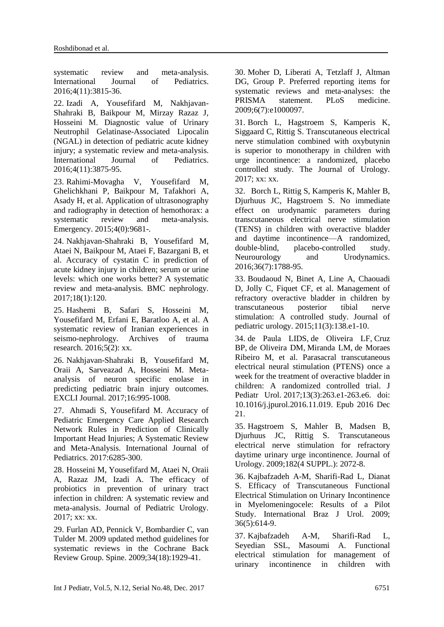systematic review and meta-analysis. International Journal of Pediatrics. 2016;4(11):3815-36.

22. Izadi A, Yousefifard M, Nakhjavan-Shahraki B, Baikpour M, Mirzay Razaz J, Hosseini M. Diagnostic value of Urinary Neutrophil Gelatinase-Associated Lipocalin (NGAL) in detection of pediatric acute kidney injury; a systematic review and meta-analysis. International Journal of Pediatrics. 2016;4(11):3875-95.

23. Rahimi-Movagha V, Yousefifard M, Ghelichkhani P, Baikpour M, Tafakhori A, Asady H, et al. Application of ultrasonography and radiography in detection of hemothorax: a systematic review and meta-analysis. Emergency. 2015;4(0):9681-.

24. Nakhjavan-Shahraki B, Yousefifard M, Ataei N, Baikpour M, Ataei F, Bazargani B, et al. Accuracy of cystatin C in prediction of acute kidney injury in children; serum or urine levels: which one works better? A systematic review and meta-analysis. BMC nephrology. 2017;18(1):120.

25. Hashemi B, Safari S, Hosseini M, Yousefifard M, Erfani E, Baratloo A, et al. A systematic review of Iranian experiences in seismo-nephrology. Archives of trauma research. 2016;5(2): xx.

26. Nakhjavan-Shahraki B, Yousefifard M, Oraii A, Sarveazad A, Hosseini M. Metaanalysis of neuron specific enolase in predicting pediatric brain injury outcomes. EXCLI Journal. 2017;16:995-1008.

27. Ahmadi S, Yousefifard M. Accuracy of Pediatric Emergency Care Applied Research Network Rules in Prediction of Clinically Important Head Injuries; A Systematic Review and Meta-Analysis. International Journal of Pediatrics. 2017:6285-300.

28. Hosseini M, Yousefifard M, Ataei N, Oraii A, Razaz JM, Izadi A. The efficacy of probiotics in prevention of urinary tract infection in children: A systematic review and meta-analysis. Journal of Pediatric Urology. 2017; xx: xx.

29. Furlan AD, Pennick V, Bombardier C, van Tulder M. 2009 updated method guidelines for systematic reviews in the Cochrane Back Review Group. Spine. 2009;34(18):1929-41.

30. Moher D, Liberati A, Tetzlaff J, Altman DG, Group P. Preferred reporting items for systematic reviews and meta-analyses: the PRISMA statement. PLoS medicine. 2009;6(7):e1000097.

31. Borch L, Hagstroem S, Kamperis K, Siggaard C, Rittig S. Transcutaneous electrical nerve stimulation combined with oxybutynin is superior to monotherapy in children with urge incontinence: a randomized, placebo controlled study. The Journal of Urology. 2017; xx: xx.

32. Borch L, Rittig S, Kamperis K, Mahler B, Djurhuus JC, Hagstroem S. No immediate effect on urodynamic parameters during transcutaneous electrical nerve stimulation (TENS) in children with overactive bladder and daytime incontinence—A randomized, double-blind, placebo-controlled study. Neurourology and Urodynamics. 2016;36(7):1788-95.

33. Boudaoud N, Binet A, Line A, Chaouadi D, Jolly C, Fiquet CF, et al. Management of refractory overactive bladder in children by transcutaneous posterior tibial nerve stimulation: A controlled study. Journal of pediatric urology. 2015;11(3):138.e1-10.

34. [de Paula LIDS,](https://www.ncbi.nlm.nih.gov/pubmed/?term=de%20Paula%20LIDS%5BAuthor%5D&cauthor=true&cauthor_uid=28089606) [de Oliveira LF,](https://www.ncbi.nlm.nih.gov/pubmed/?term=de%20Oliveira%20LF%5BAuthor%5D&cauthor=true&cauthor_uid=28089606) [Cruz](https://www.ncbi.nlm.nih.gov/pubmed/?term=Cruz%20BP%5BAuthor%5D&cauthor=true&cauthor_uid=28089606)  [BP,](https://www.ncbi.nlm.nih.gov/pubmed/?term=Cruz%20BP%5BAuthor%5D&cauthor=true&cauthor_uid=28089606) [de Oliveira DM,](https://www.ncbi.nlm.nih.gov/pubmed/?term=de%20Oliveira%20DM%5BAuthor%5D&cauthor=true&cauthor_uid=28089606) [Miranda LM,](https://www.ncbi.nlm.nih.gov/pubmed/?term=Miranda%20LM%5BAuthor%5D&cauthor=true&cauthor_uid=28089606) [de Moraes](https://www.ncbi.nlm.nih.gov/pubmed/?term=de%20Moraes%20Ribeiro%20M%5BAuthor%5D&cauthor=true&cauthor_uid=28089606)  [Ribeiro M,](https://www.ncbi.nlm.nih.gov/pubmed/?term=de%20Moraes%20Ribeiro%20M%5BAuthor%5D&cauthor=true&cauthor_uid=28089606) et al. Parasacral transcutaneous electrical neural stimulation (PTENS) once a week for the treatment of overactive bladder in children: A randomized controlled trial. [J](https://www.ncbi.nlm.nih.gov/pubmed/?term=Parasacral+transcutaneous+electrical+neural+stimulation+(PTENS)+once+a+week)  [Pediatr Urol.](https://www.ncbi.nlm.nih.gov/pubmed/?term=Parasacral+transcutaneous+electrical+neural+stimulation+(PTENS)+once+a+week) 2017;13(3):263.e1-263.e6. doi: 10.1016/j.jpurol.2016.11.019. Epub 2016 Dec 21.

35. Hagstroem S, Mahler B, Madsen B, Djurhuus JC, Rittig S. Transcutaneous electrical nerve stimulation for refractory daytime urinary urge incontinence. Journal of Urology. 2009;182(4 SUPPL.): 2072-8.

36. Kajbafzadeh A-M, Sharifi-Rad L, Dianat S. Efficacy of Transcutaneous Functional Electrical Stimulation on Urinary Incontinence in Myelomeningocele: Results of a Pilot Study. International Braz J Urol. 2009; 36(5):614-9.

37. Kajbafzadeh A-M, Sharifi-Rad L, Seyedian SSL, Masoumi A. Functional electrical stimulation for management of urinary incontinence in children with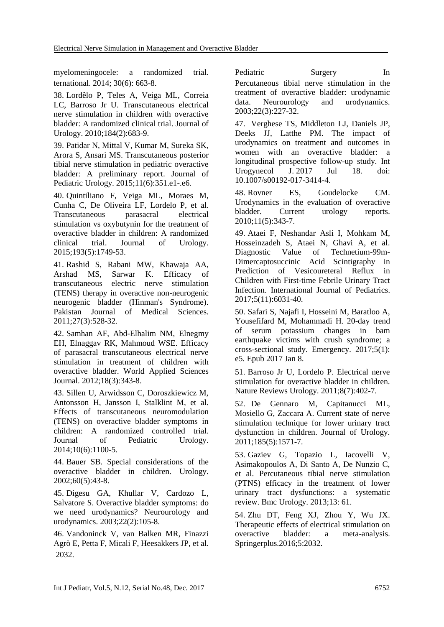myelomeningocele: a randomized trial. Pediatric Surgery In ternational. 2014; 30(6): 663-8.

38. Lordêlo P, Teles A, Veiga ML, Correia LC, Barroso Jr U. Transcutaneous electrical nerve stimulation in children with overactive bladder: A randomized clinical trial. Journal of Urology. 2010;184(2):683-9.

39. Patidar N, Mittal V, Kumar M, Sureka SK, Arora S, Ansari MS. Transcutaneous posterior tibial nerve stimulation in pediatric overactive bladder: A preliminary report. Journal of Pediatric Urology. 2015;11(6):351.e1-.e6.

40. Quintiliano F, Veiga ML, Moraes M, Cunha C, De Oliveira LF, Lordelo P, et al. Transcutaneous parasacral electrical stimulation vs oxybutynin for the treatment of overactive bladder in children: A randomized clinical trial. Journal of Urology. 2015;193(5):1749-53.

41. Rashid S, Rabani MW, Khawaja AA, Arshad MS, Sarwar K. Efficacy of transcutaneous electric nerve stimulation (TENS) therapy in overactive non-neurogenic neurogenic bladder (Hinman's Syndrome). Pakistan Journal of Medical Sciences. 2011;27(3):528-32.

42. Samhan AF, Abd-Elhalim NM, Elnegmy EH, Elnaggav RK, Mahmoud WSE. Efficacy of parasacral transcutaneous electrical nerve stimulation in treatment of children with overactive bladder. World Applied Sciences Journal. 2012;18(3):343-8.

43. Sillen U, Arwidsson C, Doroszkiewicz M, Antonsson H, Jansson I, Stalklint M, et al. Effects of transcutaneous neuromodulation (TENS) on overactive bladder symptoms in children: A randomized controlled trial.<br>
Journal of Pediatric Urology. of Pediatric Urology. 2014;10(6):1100-5.

44. Bauer SB. Special considerations of the overactive bladder in children. Urology. 2002;60(5):43-8.

45. Digesu GA, Khullar V, Cardozo L, Salvatore S. Overactive bladder symptoms: do we need urodynamics? Neurourology and urodynamics. 2003;22(2):105-8.

46. Vandoninck V, van Balken MR, Finazzi Agrò E, Petta F, Micali F, Heesakkers JP, et al. 2032.

Percutaneous tibial nerve stimulation in the treatment of overactive bladder: urodynamic data. Neurourology and urodynamics. 2003;22(3):227-32.

47. Verghese TS, Middleton LJ, Daniels JP, Deeks JJ, Latthe PM. The impact of urodynamics on treatment and outcomes in women with an overactive bladder: a longitudinal prospective follow-up study. [Int](https://www.ncbi.nlm.nih.gov/pubmed/?term=Verghese+TS%2C+Middleton+LJ%2C+Daniels+JP%2C+Deeks+JJ%2C+Latthe+PM)  [Urogynecol J.](https://www.ncbi.nlm.nih.gov/pubmed/?term=Verghese+TS%2C+Middleton+LJ%2C+Daniels+JP%2C+Deeks+JJ%2C+Latthe+PM) 2017 Jul 18. doi: 10.1007/s00192-017-3414-4.

48. Rovner ES, Goudelocke CM. Urodynamics in the evaluation of overactive bladder. Current urology reports. 2010;11(5):343-7.

49. Ataei F, Neshandar Asli I, Mohkam M, Hosseinzadeh S, Ataei N, Ghavi A, et al. Diagnostic Value of Technetium-99m-Dimercaptosuccinic Acid Scintigraphy in Prediction of Vesicoureteral Reflux in Children with First-time Febrile Urinary Tract Infection. International Journal of Pediatrics. 2017;5(11):6031-40.

50. Safari S, Najafi I, Hosseini M, Baratloo A, Yousefifard M, Mohammadi H. 20-day trend of serum potassium changes in bam earthquake victims with crush syndrome; a cross-sectional study. Emergency. 2017;5(1): e5. Epub 2017 Jan 8.

51. Barroso Jr U, Lordelo P. Electrical nerve stimulation for overactive bladder in children. Nature Reviews Urology. 2011;8(7):402-7.

52. De Gennaro M, Capitanucci ML, Mosiello G, Zaccara A. Current state of nerve stimulation technique for lower urinary tract dysfunction in children. Journal of Urology. 2011;185(5):1571-7.

53. Gaziev G, Topazio L, Iacovelli V, Asimakopoulos A, Di Santo A, De Nunzio C, et al. Percutaneous tibial nerve stimulation (PTNS) efficacy in the treatment of lower urinary tract dysfunctions: a systematic review. Bmc Urology. 2013;13: 61.

54. Zhu DT, Feng XJ, Zhou Y, Wu JX. Therapeutic effects of electrical stimulation on overactive bladder: a meta-analysis. Springerplus.2016;5:2032.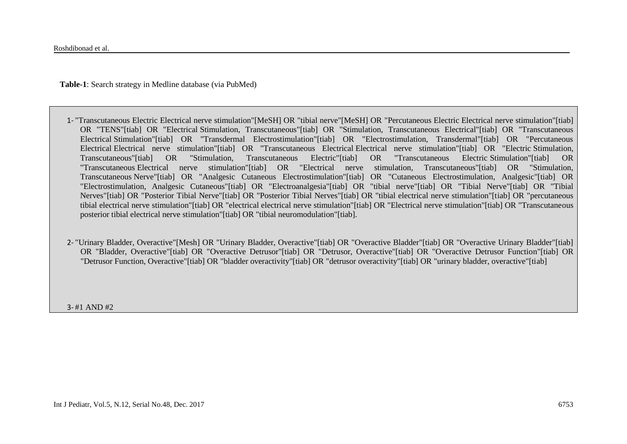**Table-1**: Search strategy in Medline database (via PubMed)

- 1- "Transcutaneous Electric Electrical nerve stimulation"[MeSH] OR "tibial nerve"[MeSH] OR "Percutaneous Electric Electrical nerve stimulation"[tiab] OR "TENS"[tiab] OR "Electrical Stimulation, Transcutaneous"[tiab] OR "Stimulation, Transcutaneous Electrical"[tiab] OR "Transcutaneous Electrical Stimulation"[tiab] OR "Transdermal Electrostimulation"[tiab] OR "Electrostimulation, Transdermal"[tiab] OR "Percutaneous Electrical Electrical nerve stimulation"[tiab] OR "Transcutaneous Electrical Electrical nerve stimulation"[tiab] OR "Electric Stimulation, Transcutaneous"[tiab] OR "Stimulation, Transcutaneous Electric"[tiab] OR "Transcutaneous Electric Stimulation"[tiab] OR "Transcutaneous Electrical nerve stimulation"[tiab] OR "Electrical nerve stimulation, Transcutaneous"[tiab] OR "Stimulation, Transcutaneous Nerve"[tiab] OR "Analgesic Cutaneous Electrostimulation"[tiab] OR "Cutaneous Electrostimulation, Analgesic"[tiab] OR "Electrostimulation, Analgesic Cutaneous"[tiab] OR "Electroanalgesia"[tiab] OR "tibial nerve"[tiab] OR "Tibial Nerve"[tiab] OR "Tibial Nerves"[tiab] OR "Posterior Tibial Nerve"[tiab] OR "Posterior Tibial Nerves"[tiab] OR "tibial electrical nerve stimulation"[tiab] OR "percutaneous tibial electrical nerve stimulation"[tiab] OR "electrical electrical nerve stimulation"[tiab] OR "Electrical nerve stimulation"[tiab] OR "Transcutaneous posterior tibial electrical nerve stimulation"[tiab] OR "tibial neuromodulation"[tiab].
- 2- "Urinary Bladder, Overactive"[Mesh] OR "Urinary Bladder, Overactive"[tiab] OR "Overactive Bladder"[tiab] OR "Overactive Urinary Bladder"[tiab] OR "Bladder, Overactive"[tiab] OR "Overactive Detrusor"[tiab] OR "Detrusor, Overactive"[tiab] OR "Overactive Detrusor Function"[tiab] OR "Detrusor Function, Overactive"[tiab] OR "bladder overactivity"[tiab] OR "detrusor overactivity"[tiab] OR "urinary bladder, overactive"[tiab]

3- #1 AND #2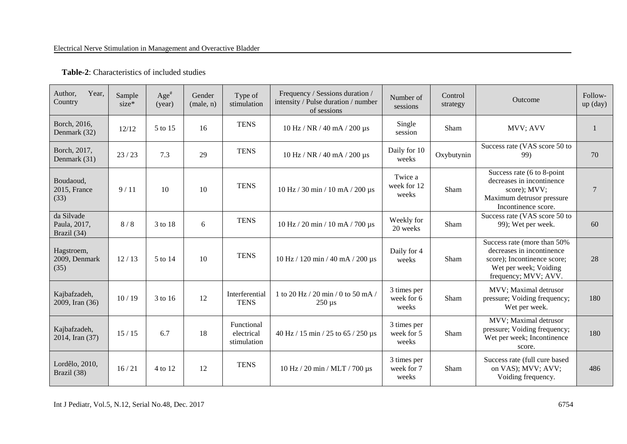| Author,<br>Year,<br>Country               | Sample<br>$size*$ | $Age^*$<br>(year) | Gender<br>(male, n) | Type of<br>stimulation                  | Frequency / Sessions duration /<br>intensity / Pulse duration / number<br>of sessions | Number of<br>sessions              | Control<br>strategy | Outcome                                                                                                                                  | Follow-<br>$up$ (day) |
|-------------------------------------------|-------------------|-------------------|---------------------|-----------------------------------------|---------------------------------------------------------------------------------------|------------------------------------|---------------------|------------------------------------------------------------------------------------------------------------------------------------------|-----------------------|
| Borch, 2016,<br>Denmark (32)              | 12/12             | 5 to 15           | 16                  | <b>TENS</b>                             | 10 Hz / NR / 40 mA / 200 µs                                                           | Single<br>session                  | Sham                | MVV; AVV                                                                                                                                 | $\mathbf{1}$          |
| Borch, 2017,<br>Denmark (31)              | 23/23             | 7.3               | 29                  | <b>TENS</b>                             | 10 Hz / NR / 40 mA / 200 µs                                                           | Daily for 10<br>weeks              | Oxybutynin          | Success rate (VAS score 50 to<br>99)                                                                                                     | 70                    |
| Boudaoud,<br>2015, France<br>(33)         | 9/11              | 10                | 10                  | <b>TENS</b>                             | 10 Hz / 30 min / 10 mA / 200 μs                                                       | Twice a<br>week for 12<br>weeks    | Sham                | Success rate (6 to 8-point<br>decreases in incontinence<br>score); MVV;<br>Maximum detrusor pressure<br>Incontinence score.              | $7\phantom{.0}$       |
| da Silvade<br>Paula, 2017,<br>Brazil (34) | 8/8               | 3 to 18           | 6                   | <b>TENS</b>                             | $10$ Hz / 20 min / 10 mA / 700 µs                                                     | Weekly for<br>20 weeks             | Sham                | Success rate (VAS score 50 to<br>99); Wet per week.                                                                                      | 60                    |
| Hagstroem,<br>2009, Denmark<br>(35)       | 12/13             | 5 to 14           | 10                  | <b>TENS</b>                             | $10$ Hz / $120$ min / $40$ mA / $200$ µs                                              | Daily for 4<br>weeks               | Sham                | Success rate (more than 50%<br>decreases in incontinence<br>score); Incontinence score;<br>Wet per week; Voiding<br>frequency; MVV; AVV. | 28                    |
| Kajbafzadeh,<br>2009, Iran (36)           | 10/19             | 3 to 16           | 12                  | Interferential<br><b>TENS</b>           | 1 to 20 Hz / 20 min / 0 to 50 mA /<br>$250 \text{ }\mu\text{s}$                       | 3 times per<br>week for 6<br>weeks | Sham                | MVV; Maximal detrusor<br>pressure; Voiding frequency;<br>Wet per week.                                                                   | 180                   |
| Kajbafzadeh,<br>2014, Iran (37)           | 15/15             | 6.7               | 18                  | Functional<br>electrical<br>stimulation | 40 Hz / 15 min / 25 to 65 / 250 µs                                                    | 3 times per<br>week for 5<br>weeks | Sham                | MVV; Maximal detrusor<br>pressure; Voiding frequency;<br>Wet per week; Incontinence<br>score.                                            | 180                   |
| Lordêlo, 2010,<br>Brazil (38)             | 16/21             | 4 to 12           | 12                  | <b>TENS</b>                             | 10 Hz / 20 min / MLT / 700 µs                                                         | 3 times per<br>week for 7<br>weeks | Sham                | Success rate (full cure based<br>on VAS); MVV; AVV;<br>Voiding frequency.                                                                | 486                   |

#### **Table-2**: Characteristics of included studies